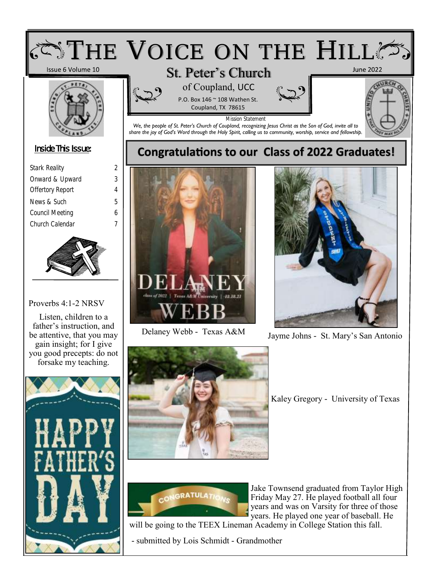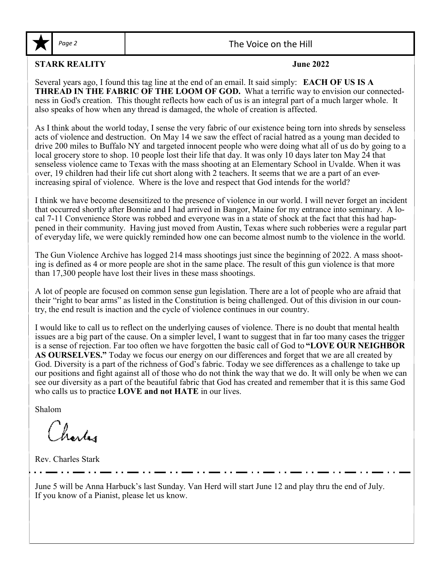

Page 2 and 1 and 1 and 2 and 2 and 2 and 2 and 2 and 2 and 2 and 2 and 2 and 2 and 2 and 2 and 2 and 2 and 2 and 2 and 2 and 2 and 2 and 2 and 2 and 2 and 2 and 2 and 2 and 2 and 2 and 2 and 2 and 2 and 2 and 2 and 2 and 2

#### **STARK REALITY June 2022**

Several years ago, I found this tag line at the end of an email. It said simply: **EACH OF US IS A THREAD IN THE FABRIC OF THE LOOM OF GOD.** What a terrific way to envision our connectedness in God's creation. This thought reflects how each of us is an integral part of a much larger whole. It also speaks of how when any thread is damaged, the whole of creation is affected.

As I think about the world today, I sense the very fabric of our existence being torn into shreds by senseless acts of violence and destruction. On May 14 we saw the effect of racial hatred as a young man decided to drive 200 miles to Buffalo NY and targeted innocent people who were doing what all of us do by going to a local grocery store to shop. 10 people lost their life that day. It was only 10 days later ton May 24 that senseless violence came to Texas with the mass shooting at an Elementary School in Uvalde. When it was over, 19 children had their life cut short along with 2 teachers. It seems that we are a part of an everincreasing spiral of violence. Where is the love and respect that God intends for the world?

I think we have become desensitized to the presence of violence in our world. I will never forget an incident that occurred shortly after Bonnie and I had arrived in Bangor, Maine for my entrance into seminary. A local 7-11 Convenience Store was robbed and everyone was in a state of shock at the fact that this had happened in their community. Having just moved from Austin, Texas where such robberies were a regular part of everyday life, we were quickly reminded how one can become almost numb to the violence in the world.

The Gun Violence Archive has logged 214 mass shootings just since the beginning of 2022. A mass shooting is defined as 4 or more people are shot in the same place. The result of this gun violence is that more than 17,300 people have lost their lives in these mass shootings.

A lot of people are focused on common sense gun legislation. There are a lot of people who are afraid that their "right to bear arms" as listed in the Constitution is being challenged. Out of this division in our country, the end result is inaction and the cycle of violence continues in our country.

I would like to call us to reflect on the underlying causes of violence. There is no doubt that mental health issues are a big part of the cause. On a simpler level, I want to suggest that in far too many cases the trigger is a sense of rejection. Far too often we have forgotten the basic call of God to **"LOVE OUR NEIGHBOR AS OURSELVES."** Today we focus our energy on our differences and forget that we are all created by God. Diversity is a part of the richness of God's fabric. Today we see differences as a challenge to take up our positions and fight against all of those who do not think the way that we do. It will only be when we can see our diversity as a part of the beautiful fabric that God has created and remember that it is this same God who calls us to practice **LOVE and not HATE** in our lives.

Shalom

Charles

Rev. Charles Stark

June 5 will be Anna Harbuck's last Sunday. Van Herd will start June 12 and play thru the end of July. If you know of a Pianist, please let us know.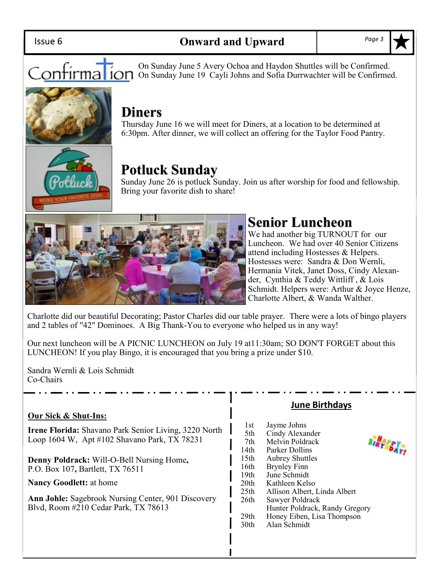Issue 6

On Sunday June 5 Avery Ochoa and Haydon Shuttles will be Confirmed. Contirma ion Sunday June 3 Avery Centra and Hayden Shances will be Confirmed.

## **Diners**

Thursday June 16 we will meet for Diners, at a location to be determined at 6:30pm. After dinner, we will collect an offering for the Taylor Food Pantry.

## **Potluck Sunday**

Sunday June 26 is potluck Sunday. Join us after worship for food and fellowship. Bring your favorite dish to share!



## **Senior Luncheon**

We had another big TURNOUT for our Luncheon. We had over 40 Senior Citizens attend including Hostesses & Helpers. Hostesses were: Sandra & Don Wernli, Hermania Vitek, Janet Doss, Cindy Alexander, Cynthia & Teddy Wittliff , & Lois Schmidt. Helpers were: Arthur & Joyce Henze, Charlotte Albert, & Wanda Walther.

Charlotte did our beautiful Decorating; Pastor Charles did our table prayer. There were a lots of bingo players and 2 tables of "42" Dominoes. A Big Thank-You to everyone who helped us in any way!

Our next luncheon will be A PICNIC LUNCHEON on July 19 at11:30am; SO DON'T FORGET about this LUNCHEON! If you play Bingo, it is encouraged that you bring a prize under \$10.

Sandra Wernli & Lois Schmidt Co-Chairs

#### **Our Sick & Shut-Ins:**

**Irene Florida:** Shavano Park Senior Living, 3220 North Loop 1604 W, Apt #102 Shavano Park, TX 78231

**Denny Poldrack:** Will-O-Bell Nursing Home**,**  P.O. Box 107**,** Bartlett, TX 76511

**Nancy Goodlett:** at home

**Ann Johle:** Sagebrook Nursing Center, 901 Discovery Blvd, Room #210 Cedar Park, TX 78613

#### **June Birthdays**

 $\mathbf{b}_{\mathbf{A}}$ 

| 1st              | Jayme Johns                    |  |
|------------------|--------------------------------|--|
| 5th              | Cindy Alexander                |  |
| 7th              | Melvin Poldrack                |  |
| 14th             | Parker Dollins                 |  |
| 15 <sub>th</sub> | <b>Aubrey Shuttles</b>         |  |
| 16th             | <b>Brynley Finn</b>            |  |
| 19th             | June Schmidt                   |  |
| 20 <sup>th</sup> | Kathleen Kelso                 |  |
| 25 <sub>th</sub> | Allison Albert, Linda Albert   |  |
| 26th             | Sawyer Poldrack                |  |
|                  | Hunter Poldrack, Randy Gregory |  |
| 29th             | Honey Eiben, Lisa Thompson     |  |
| 30th             | Alan Schmidt                   |  |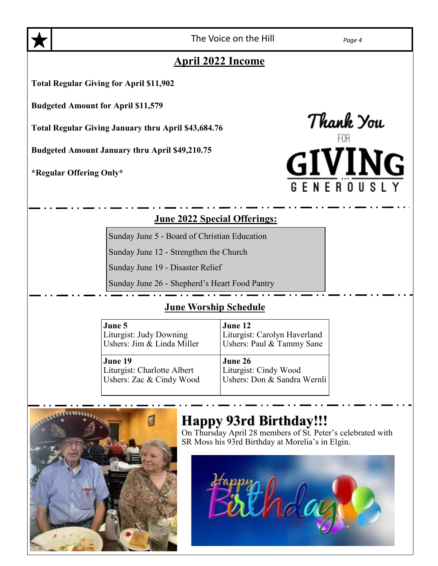

The Voice on the Hill *Page 4*

### **April 2022 Income**

**Total Regular Giving for April \$11,902**

**Budgeted Amount for April \$11,579**

**Total Regular Giving January thru April \$43,684.76**

**Budgeted Amount January thru April \$49,210.75**

**\*Regular Offering Only\***

Thank You<br>TITINI ER<sub>0</sub>

#### **June 2022 Special Offerings:**

Sunday June 5 - Board of Christian Education

Sunday June 12 - Strengthen the Church

Sunday June 19 - Disaster Relief

Sunday June 26 - Shepherd's Heart Food Pantry

#### **June Worship Schedule**

| June 5                      | June 12                      |
|-----------------------------|------------------------------|
| Liturgist: Judy Downing     | Liturgist: Carolyn Haverland |
| Ushers: Jim & Linda Miller  | Ushers: Paul & Tammy Sane    |
| June 19                     | June 26                      |
| Liturgist: Charlotte Albert | Liturgist: Cindy Wood        |
| Ushers: Zac & Cindy Wood    | Ushers: Don & Sandra Wernli  |



## **Happy 93rd Birthday!!!**

On Thursday April 28 members of St. Peter's celebrated with SR Moss his 93rd Birthday at Morelia's in Elgin.

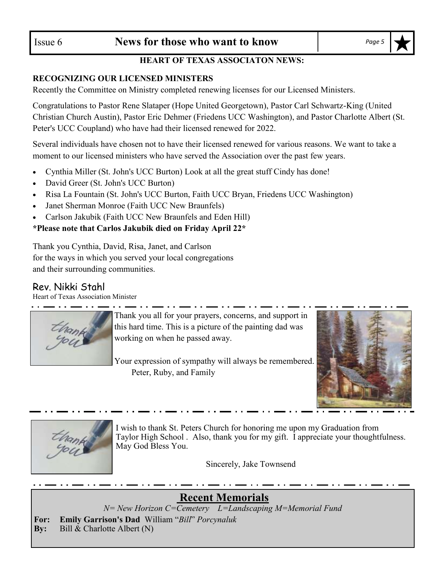#### **HEART OF TEXAS ASSOCIATON NEWS:**

#### **RECOGNIZING OUR LICENSED MINISTERS**

Recently the Committee on Ministry completed renewing licenses for our Licensed Ministers.

Congratulations to Pastor Rene Slataper (Hope United Georgetown), Pastor Carl Schwartz-King (United Christian Church Austin), Pastor Eric Dehmer (Friedens UCC Washington), and Pastor Charlotte Albert (St. Peter's UCC Coupland) who have had their licensed renewed for 2022.

Several individuals have chosen not to have their licensed renewed for various reasons. We want to take a moment to our licensed ministers who have served the Association over the past few years.

- Cynthia Miller (St. John's UCC Burton) Look at all the great stuff Cindy has done!
- David Greer (St. John's UCC Burton)
- Risa La Fountain (St. John's UCC Burton, Faith UCC Bryan, Friedens UCC Washington)
- Janet Sherman Monroe (Faith UCC New Braunfels)
- Carlson Jakubik (Faith UCC New Braunfels and Eden Hill)

#### **\*Please note that Carlos Jakubik died on Friday April 22\***

Thank you Cynthia, David, Risa, Janet, and Carlson for the ways in which you served your local congregations and their surrounding communities.

#### Rev. Nikki Stahl

Heart of Texas Association Minister



Thank you all for your prayers, concerns, and support in this hard time. This is a picture of the painting dad was working on when he passed away.

Your expression of sympathy will always be remembered. Peter, Ruby, and Family





I wish to thank St. Peters Church for honoring me upon my Graduation from Taylor High School . Also, thank you for my gift. I appreciate your thoughtfulness. May God Bless You.

Sincerely, Jake Townsend

**Recent Memorials**

*N= New Horizon C=Cemetery L=Landscaping M=Memorial Fund*

**For: Emily Garrison's Dad** William "*Bill*" *Porcynaluk* **By:** Bill & Charlotte Albert (N)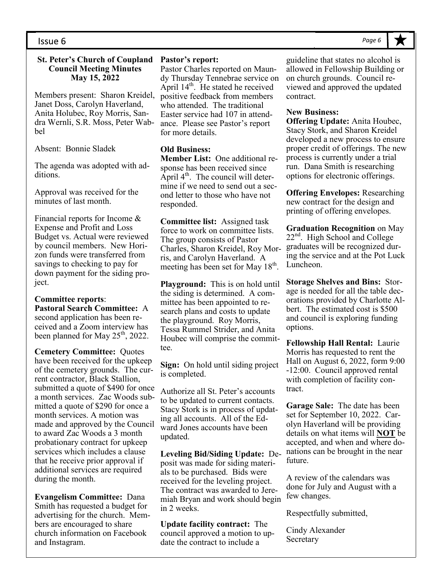#### **St. Peter's Church of Coupland Council Meeting Minutes May 15, 2022**

Members present: Sharon Kreidel, Janet Doss, Carolyn Haverland, Anita Holubec, Roy Morris, Sandra Wernli, S.R. Moss, Peter Wabbel

Absent: Bonnie Sladek

The agenda was adopted with additions.

Approval was received for the minutes of last month.

Financial reports for Income & Expense and Profit and Loss Budget vs. Actual were reviewed by council members. New Horizon funds were transferred from savings to checking to pay for down payment for the siding project.

#### **Committee reports**: **Pastoral Search Committee:** A second application has been received and a Zoom interview has been planned for May 25<sup>th</sup>, 2022.

**Cemetery Committee:** Quotes have been received for the upkeep of the cemetery grounds. The current contractor, Black Stallion, submitted a quote of \$490 for once a month services. Zac Woods submitted a quote of \$290 for once a month services. A motion was made and approved by the Council to award Zac Woods a 3 month probationary contract for upkeep services which includes a clause that he receive prior approval if additional services are required during the month.

**Evangelism Committee:** Dana Smith has requested a budget for advertising for the church. Members are encouraged to share church information on Facebook and Instagram.

#### **Pastor's report:**

Pastor Charles reported on Maundy Thursday Tennebrae service on April  $14<sup>th</sup>$ . He stated he received positive feedback from members who attended. The traditional Easter service had 107 in attendance. Please see Pastor's report for more details.

#### **Old Business:**

**Member List:** One additional response has been received since April  $4<sup>th</sup>$ . The council will determine if we need to send out a second letter to those who have not responded.

**Committee list:** Assigned task force to work on committee lists. The group consists of Pastor Charles, Sharon Kreidel, Roy Morris, and Carolyn Haverland. A meeting has been set for May 18<sup>th</sup>.

**Playground:** This is on hold until the siding is determined. A committee has been appointed to research plans and costs to update the playground. Roy Morris, Tessa Rummel Strider, and Anita Houbec will comprise the committee.

**Sign:** On hold until siding project is completed.

Authorize all St. Peter's accounts to be updated to current contacts. Stacy Stork is in process of updating all accounts. All of the Edward Jones accounts have been updated.

**Leveling Bid/Siding Update:** Deposit was made for siding materials to be purchased. Bids were received for the leveling project. The contract was awarded to Jeremiah Bryan and work should begin in 2 weeks.

**Update facility contract:** The council approved a motion to update the contract to include a

guideline that states no alcohol is allowed in Fellowship Building or on church grounds. Council reviewed and approved the updated contract.

#### **New Business:**

**Offering Update:** Anita Houbec, Stacy Stork, and Sharon Kreidel developed a new process to ensure proper credit of offerings. The new process is currently under a trial run. Dana Smith is researching options for electronic offerings.

**Offering Envelopes:** Researching new contract for the design and printing of offering envelopes.

**Graduation Recognition** on May  $22<sup>nd</sup>$ . High School and College graduates will be recognized during the service and at the Pot Luck Luncheon.

**Storage Shelves and Bins:** Storage is needed for all the table decorations provided by Charlotte Albert. The estimated cost is \$500 and council is exploring funding options.

**Fellowship Hall Rental:** Laurie Morris has requested to rent the Hall on August 6, 2022, form 9:00 -12:00. Council approved rental with completion of facility contract.

**Garage Sale:** The date has been set for September 10, 2022. Carolyn Haverland will be providing details on what items will **NOT** be accepted, and when and where donations can be brought in the near future.

A review of the calendars was done for July and August with a few changes.

Respectfully submitted,

Cindy Alexander **Secretary** 

#### *Page 6*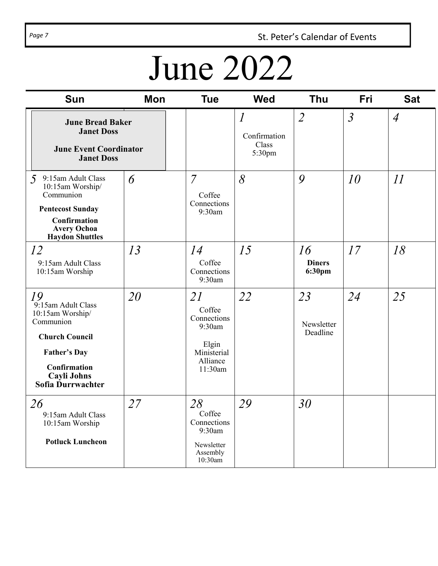Page 7 **St. Peter's Calendar of Events** 

# June 2022

| <b>Sun</b>                                                                                                                                                    | <b>Mon</b> | <b>Tue</b>                                                                           | <b>Wed</b>                                        | <b>Thu</b>                    | Fri            | <b>Sat</b>     |
|---------------------------------------------------------------------------------------------------------------------------------------------------------------|------------|--------------------------------------------------------------------------------------|---------------------------------------------------|-------------------------------|----------------|----------------|
| <b>June Bread Baker</b><br><b>Janet Doss</b><br><b>June Event Coordinator</b><br><b>Janet Doss</b>                                                            |            |                                                                                      | $\overline{l}$<br>Confirmation<br>Class<br>5:30pm | $\overline{2}$                | $\mathfrak{Z}$ | $\overline{A}$ |
| 9:15am Adult Class<br>5<br>10:15am Worship/<br>Communion<br><b>Pentecost Sunday</b><br>Confirmation<br><b>Avery Ochoa</b><br><b>Haydon Shuttles</b>           | 6          | $\overline{7}$<br>Coffee<br>Connections<br>9:30am                                    | 8                                                 | 9                             | 10             | $\mathcal{I}$  |
| 12<br>9:15am Adult Class<br>10:15am Worship                                                                                                                   | 13         | 14<br>Coffee<br>Connections<br>9:30am                                                | 15                                                | 16<br><b>Diners</b><br>6:30pm | 17             | 18             |
| 19<br>9:15am Adult Class<br>10:15am Worship/<br>Communion<br><b>Church Council</b><br><b>Father's Day</b><br>Confirmation<br>Cayli Johns<br>Sofia Durrwachter | 20         | 21<br>Coffee<br>Connections<br>9:30am<br>Elgin<br>Ministerial<br>Alliance<br>11:30am | 22                                                | 23<br>Newsletter<br>Deadline  | 24             | 25             |
| 26<br>9:15am Adult Class<br>10:15am Worship<br><b>Potluck Luncheon</b>                                                                                        | 27         | 28<br>Coffee<br>Connections<br>9:30am<br>Newsletter<br>Assembly<br>10:30am           | 29                                                | 30                            |                |                |